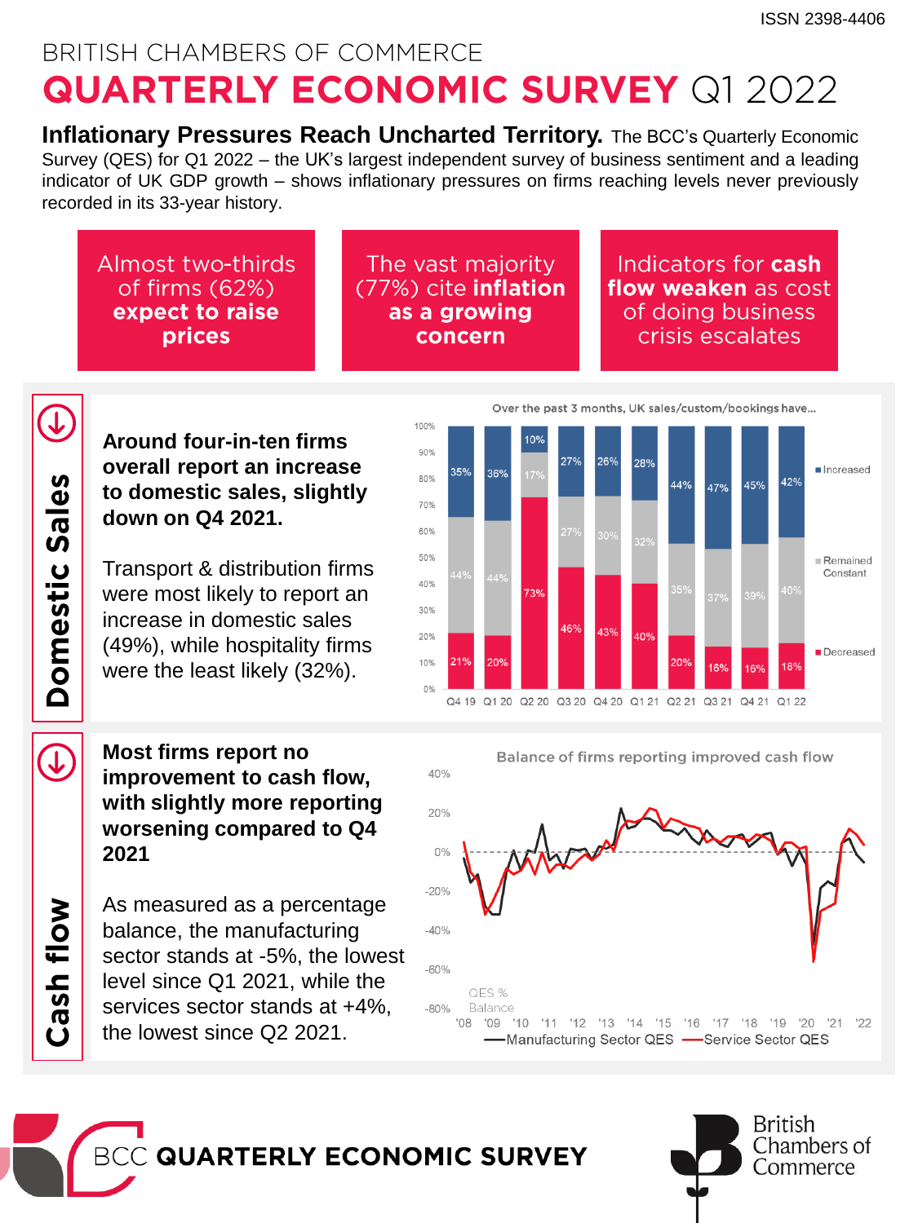# BRITISH CHAMBERS OF COMMERCE **QUARTERLY ECONOMIC SURVEY Q1 2022**

**Inflationary Pressures Reach Uncharted Territory.** The BCC's Quarterly Economic Survey (QES) for Q1 2022 – the UK's largest independent survey of business sentiment and a leading indicator of UK GDP growth – shows inflationary pressures on firms reaching levels never previously recorded in its 33-year history.

Almost two-thirds of firms (62%) expect to raise prices

The vast majority (77%) cite inflation as a growing concern

#### Indicators for **cash** flow weaken as cost of doing business crisis escalates

**Around four-in-ten firms overall report an increase to domestic sales, slightly down on Q4 2021.** 

Transport & distribution firms were most likely to report an increase in domestic sales (49%), while hospitality firms were the least likely (32%).

 $\bigcup$ 

Cash flow

Domestic Sales

 $\bigcup$ 

**Most firms report no improvement to cash flow, with slightly more reporting worsening compared to Q4 2021**

As measured as a percentage balance, the manufacturing sector stands at -5%, the lowest level since Q1 2021, while the services sector stands at +4%, the lowest since Q2 2021.







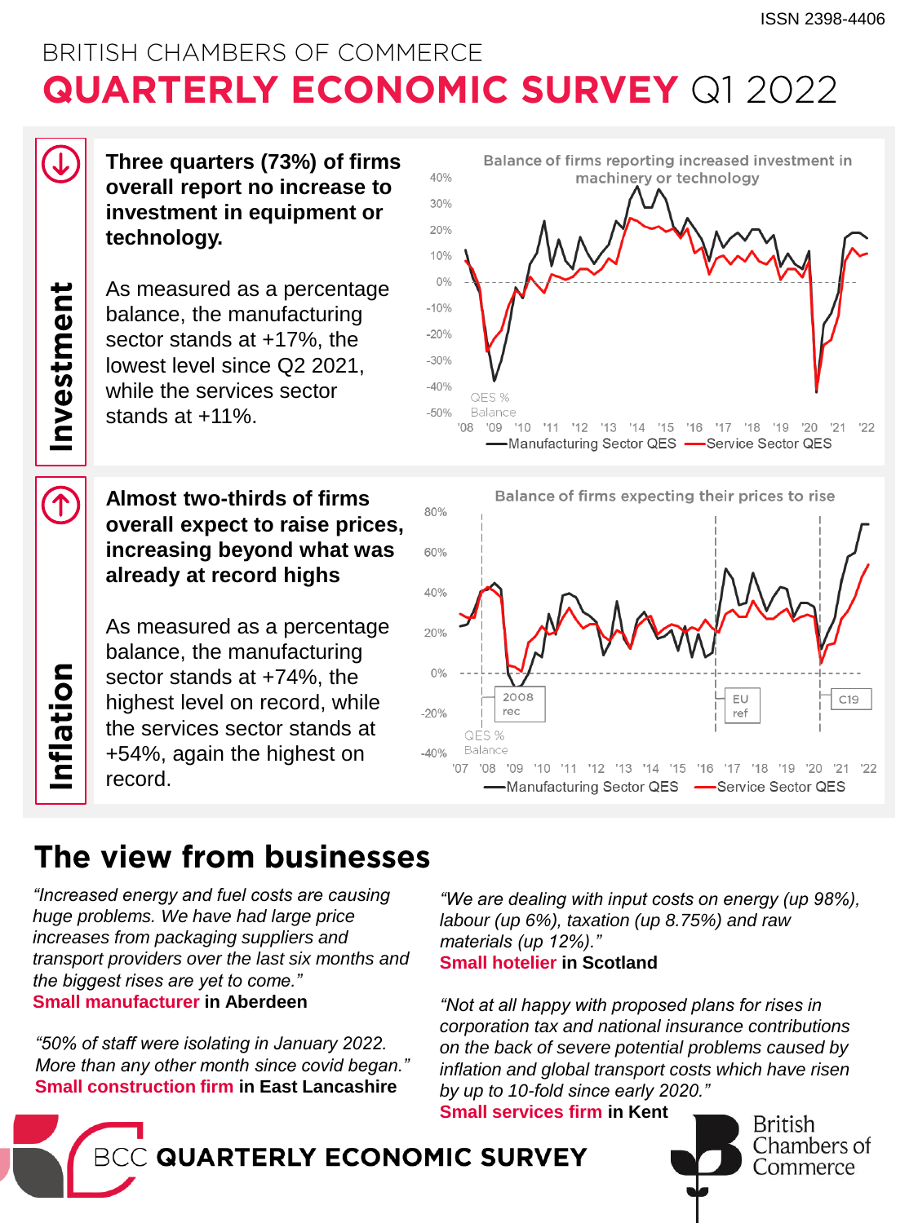## BRITISH CHAMBERS OF COMMERCE **QUARTERLY ECONOMIC SURVEY Q1 2022**

Investment

 $\widehat{\mathcal{L}}$ 

nflation

**Three quarters (73%) of firms overall report no increase to investment in equipment or technology.**

As measured as a percentage balance, the manufacturing sector stands at +17%, the lowest level since Q2 2021, while the services sector stands at +11%.

#### **Almost two-thirds of firms overall expect to raise prices, increasing beyond what was already at record highs**

As measured as a percentage balance, the manufacturing sector stands at +74%, the highest level on record, while the services sector stands at +54%, again the highest on record.





### The view from businesses

*"Increased energy and fuel costs are causing huge problems. We have had large price increases from packaging suppliers and transport providers over the last six months and the biggest rises are yet to come."* **Small manufacturer in Aberdeen**

*"50% of staff were isolating in January 2022. More than any other month since covid began."*  **Small construction firm in East Lancashire** 

*"We are dealing with input costs on energy (up 98%), labour (up 6%), taxation (up 8.75%) and raw materials (up 12%)."*  **Small hotelier in Scotland**

*"Not at all happy with proposed plans for rises in corporation tax and national insurance contributions on the back of severe potential problems caused by inflation and global transport costs which have risen by up to 10-fold since early 2020."* **Small services firm in Kent**

British

Chambers of

Commerce

**GUARTERLY ECONOMIC SURVEY**